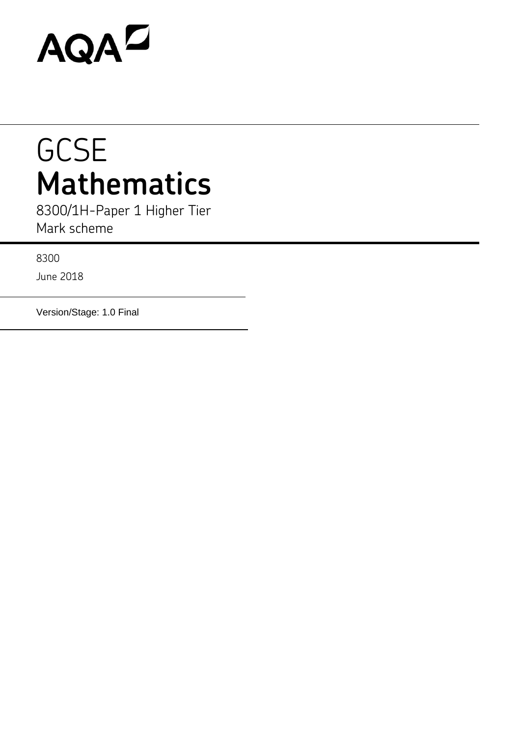# AQAD

# **GCSE Mathematics**

8300/1H-Paper 1 Higher Tier Mark scheme

8300

June 2018

Version/Stage: 1.0 Final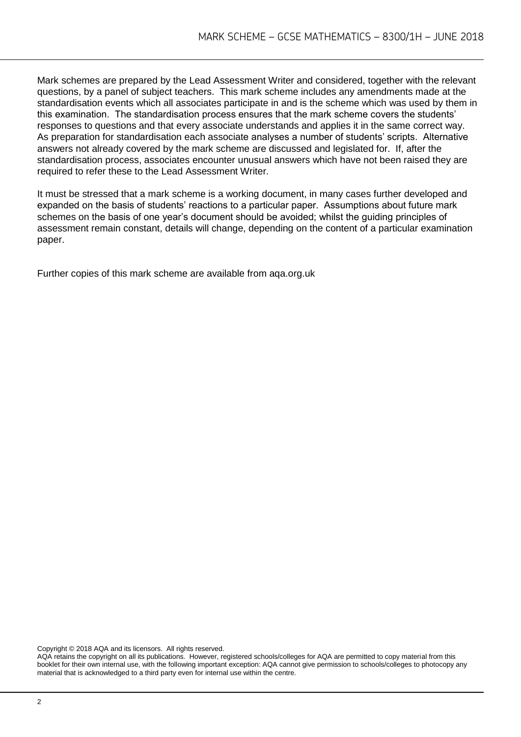Mark schemes are prepared by the Lead Assessment Writer and considered, together with the relevant questions, by a panel of subject teachers. This mark scheme includes any amendments made at the standardisation events which all associates participate in and is the scheme which was used by them in this examination. The standardisation process ensures that the mark scheme covers the students' responses to questions and that every associate understands and applies it in the same correct way. As preparation for standardisation each associate analyses a number of students' scripts. Alternative answers not already covered by the mark scheme are discussed and legislated for. If, after the standardisation process, associates encounter unusual answers which have not been raised they are required to refer these to the Lead Assessment Writer.

It must be stressed that a mark scheme is a working document, in many cases further developed and expanded on the basis of students' reactions to a particular paper. Assumptions about future mark schemes on the basis of one year's document should be avoided; whilst the guiding principles of assessment remain constant, details will change, depending on the content of a particular examination paper.

Further copies of this mark scheme are available from aqa.org.uk

Copyright © 2018 AQA and its licensors. All rights reserved.

AQA retains the copyright on all its publications. However, registered schools/colleges for AQA are permitted to copy material from this booklet for their own internal use, with the following important exception: AQA cannot give permission to schools/colleges to photocopy any material that is acknowledged to a third party even for internal use within the centre.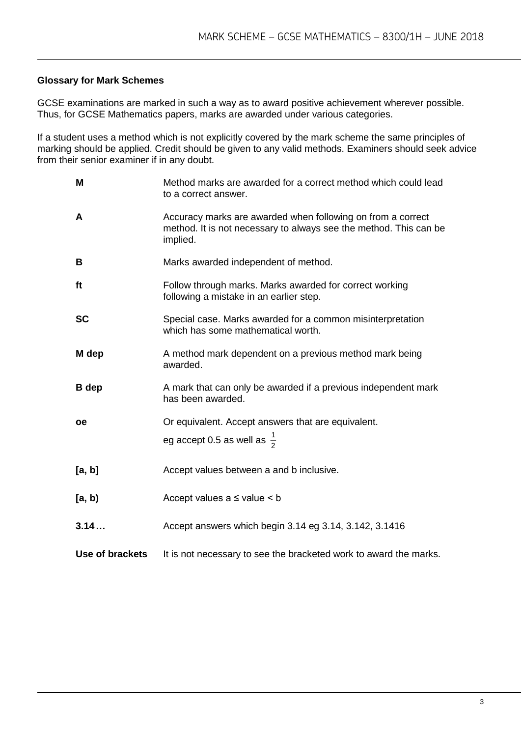# **Glossary for Mark Schemes**

GCSE examinations are marked in such a way as to award positive achievement wherever possible. Thus, for GCSE Mathematics papers, marks are awarded under various categories.

If a student uses a method which is not explicitly covered by the mark scheme the same principles of marking should be applied. Credit should be given to any valid methods. Examiners should seek advice from their senior examiner if in any doubt.

| M               | Method marks are awarded for a correct method which could lead<br>to a correct answer.                                                       |
|-----------------|----------------------------------------------------------------------------------------------------------------------------------------------|
| A               | Accuracy marks are awarded when following on from a correct<br>method. It is not necessary to always see the method. This can be<br>implied. |
| B               | Marks awarded independent of method.                                                                                                         |
| ft              | Follow through marks. Marks awarded for correct working<br>following a mistake in an earlier step.                                           |
| <b>SC</b>       | Special case. Marks awarded for a common misinterpretation<br>which has some mathematical worth.                                             |
| M dep           | A method mark dependent on a previous method mark being<br>awarded.                                                                          |
| <b>B</b> dep    | A mark that can only be awarded if a previous independent mark<br>has been awarded.                                                          |
| <b>oe</b>       | Or equivalent. Accept answers that are equivalent.                                                                                           |
|                 | eg accept 0.5 as well as $\frac{1}{2}$                                                                                                       |
| [a, b]          | Accept values between a and b inclusive.                                                                                                     |
| [a, b)          | Accept values $a \leq$ value $\leq b$                                                                                                        |
| 3.14            | Accept answers which begin 3.14 eg 3.14, 3.142, 3.1416                                                                                       |
| Use of brackets | It is not necessary to see the bracketed work to award the marks.                                                                            |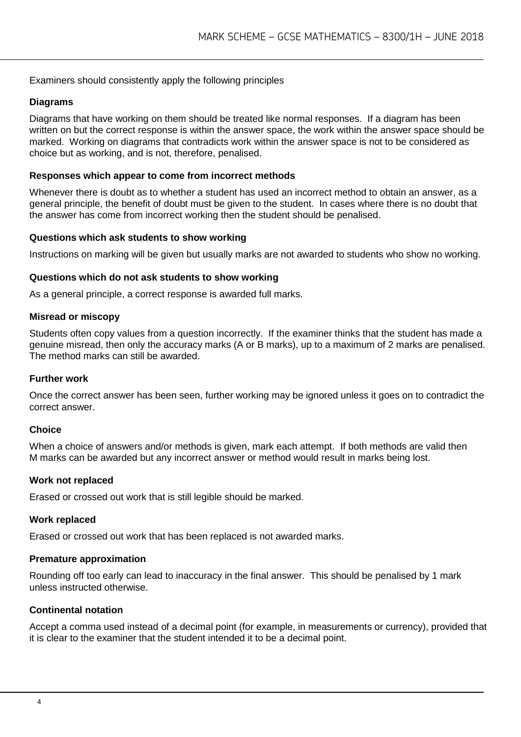# Examiners should consistently apply the following principles

# **Diagrams**

Diagrams that have working on them should be treated like normal responses. If a diagram has been written on but the correct response is within the answer space, the work within the answer space should be marked. Working on diagrams that contradicts work within the answer space is not to be considered as choice but as working, and is not, therefore, penalised.

# **Responses which appear to come from incorrect methods**

Whenever there is doubt as to whether a student has used an incorrect method to obtain an answer, as a general principle, the benefit of doubt must be given to the student. In cases where there is no doubt that the answer has come from incorrect working then the student should be penalised.

#### **Questions which ask students to show working**

Instructions on marking will be given but usually marks are not awarded to students who show no working.

#### **Questions which do not ask students to show working**

As a general principle, a correct response is awarded full marks.

#### **Misread or miscopy**

Students often copy values from a question incorrectly. If the examiner thinks that the student has made a genuine misread, then only the accuracy marks (A or B marks), up to a maximum of 2 marks are penalised. The method marks can still be awarded.

#### **Further work**

Once the correct answer has been seen, further working may be ignored unless it goes on to contradict the correct answer.

#### **Choice**

When a choice of answers and/or methods is given, mark each attempt. If both methods are valid then M marks can be awarded but any incorrect answer or method would result in marks being lost.

# **Work not replaced**

Erased or crossed out work that is still legible should be marked.

#### **Work replaced**

Erased or crossed out work that has been replaced is not awarded marks.

#### **Premature approximation**

Rounding off too early can lead to inaccuracy in the final answer. This should be penalised by 1 mark unless instructed otherwise.

# **Continental notation**

Accept a comma used instead of a decimal point (for example, in measurements or currency), provided that it is clear to the examiner that the student intended it to be a decimal point.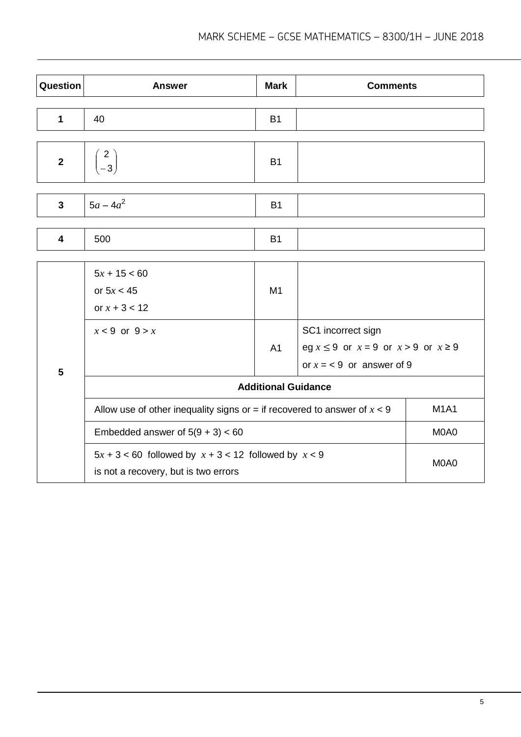| Question       | <b>Answer</b>                                                                                              | <b>Mark</b>    | <b>Comments</b>                                                                                    |  |
|----------------|------------------------------------------------------------------------------------------------------------|----------------|----------------------------------------------------------------------------------------------------|--|
| $\mathbf 1$    | 40                                                                                                         | <b>B1</b>      |                                                                                                    |  |
| $\mathbf{2}$   | $\begin{pmatrix} 2 \\ -3 \end{pmatrix}$                                                                    | <b>B1</b>      |                                                                                                    |  |
| 3              | $5a - 4a^2$                                                                                                | <b>B1</b>      |                                                                                                    |  |
| 4              | 500                                                                                                        | <b>B1</b>      |                                                                                                    |  |
|                | $5x + 15 < 60$<br>or $5x < 45$<br>or $x + 3 < 12$                                                          | M1             |                                                                                                    |  |
| $5\phantom{1}$ | $x < 9$ or $9 > x$                                                                                         | A <sub>1</sub> | SC1 incorrect sign<br>eg $x \le 9$ or $x = 9$ or $x > 9$ or $x \ge 9$<br>or $x = 9$ or answer of 9 |  |
|                | <b>Additional Guidance</b>                                                                                 |                |                                                                                                    |  |
|                | <b>M1A1</b><br>Allow use of other inequality signs or = if recovered to answer of $x < 9$                  |                |                                                                                                    |  |
|                | Embedded answer of $5(9 + 3) < 60$<br>M0A0                                                                 |                |                                                                                                    |  |
|                | $5x + 3 < 60$ followed by $x + 3 < 12$ followed by $x < 9$<br>M0A0<br>is not a recovery, but is two errors |                |                                                                                                    |  |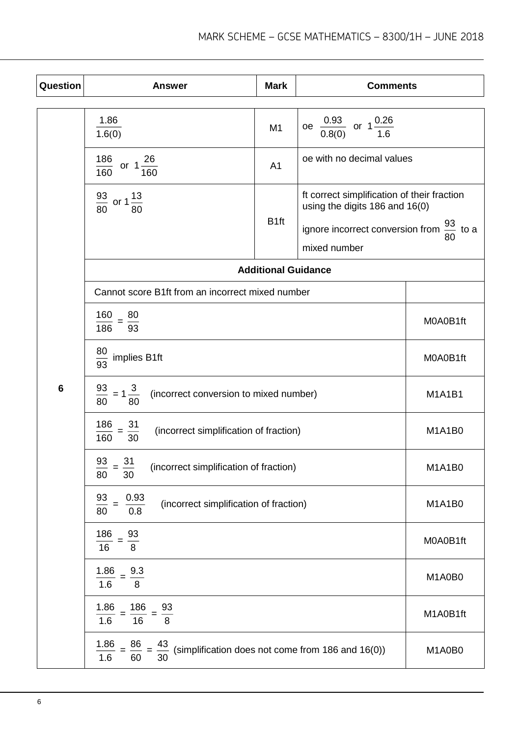| Question | <b>Answer</b>                                                                                                                                                                                                                                           | <b>Mark</b>                                           | <b>Comments</b>                                                               |               |
|----------|---------------------------------------------------------------------------------------------------------------------------------------------------------------------------------------------------------------------------------------------------------|-------------------------------------------------------|-------------------------------------------------------------------------------|---------------|
|          | 1.86                                                                                                                                                                                                                                                    | M <sub>1</sub>                                        | oe $\frac{0.93}{0.8(0)}$ or $1\frac{0.26}{1.6}$                               |               |
|          | 186<br>or $1\frac{26}{1}$<br>160<br>160                                                                                                                                                                                                                 | 1.6(0)<br>oe with no decimal values<br>A <sub>1</sub> |                                                                               |               |
|          | $\frac{93}{80}$ or 1 $\frac{13}{80}$                                                                                                                                                                                                                    |                                                       | ft correct simplification of their fraction<br>using the digits 186 and 16(0) |               |
|          |                                                                                                                                                                                                                                                         | B <sub>1ft</sub>                                      | ignore incorrect conversion from $\frac{93}{22}$ to a<br>mixed number         | 80            |
|          |                                                                                                                                                                                                                                                         | <b>Additional Guidance</b>                            |                                                                               |               |
|          | Cannot score B1ft from an incorrect mixed number                                                                                                                                                                                                        |                                                       |                                                                               |               |
|          | $\frac{160}{160} = \frac{80}{160}$<br>186<br>93                                                                                                                                                                                                         |                                                       |                                                                               | M0A0B1ft      |
|          | $rac{30}{93}$ implies B1ft<br>M0A0B1ft                                                                                                                                                                                                                  |                                                       |                                                                               |               |
| 6        | $\frac{93}{80}$ = 1 $\frac{3}{80}$<br>(incorrect conversion to mixed number)<br>$\frac{186}{160} = \frac{31}{30}$<br>(incorrect simplification of fraction)<br>93<br>31<br>(incorrect simplification of fraction)<br>$\frac{1}{1} = \frac{1}{30}$<br>80 |                                                       |                                                                               | <b>M1A1B1</b> |
|          |                                                                                                                                                                                                                                                         |                                                       |                                                                               | M1A1B0        |
|          |                                                                                                                                                                                                                                                         |                                                       |                                                                               | M1A1B0        |
|          | $\frac{0.93}{0.8}$<br>$\frac{93}{80}$ =<br>(incorrect simplification of fraction)                                                                                                                                                                       |                                                       |                                                                               | M1A1B0        |
|          | 186<br>$\frac{93}{8}$<br>M0A0B1ft<br>16                                                                                                                                                                                                                 |                                                       |                                                                               |               |
|          | 9.3<br>1.86<br>1.6<br>8                                                                                                                                                                                                                                 |                                                       |                                                                               | M1A0B0        |
|          | 1.86<br>$\frac{186}{16}$ =<br>$\frac{93}{8}$<br>1.6                                                                                                                                                                                                     |                                                       |                                                                               | M1A0B1ft      |
|          | $\frac{1.86}{1.6}$ =<br>$\frac{86}{ } =$<br>$\frac{43}{30}$ (simplification does not come from 186 and 16(0))<br>60                                                                                                                                     |                                                       |                                                                               | M1A0B0        |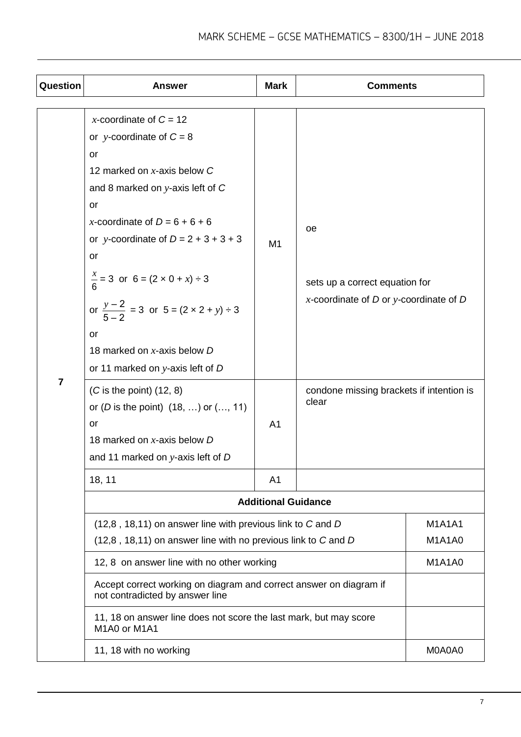| Question       | <b>Answer</b>                                                                                                                                                                                                                                                                                                                                                                                                                                                                                                                                                                                              | <b>Mark</b>                      | <b>Comments</b>                                                                                                                         |                                |
|----------------|------------------------------------------------------------------------------------------------------------------------------------------------------------------------------------------------------------------------------------------------------------------------------------------------------------------------------------------------------------------------------------------------------------------------------------------------------------------------------------------------------------------------------------------------------------------------------------------------------------|----------------------------------|-----------------------------------------------------------------------------------------------------------------------------------------|--------------------------------|
| $\overline{7}$ | x-coordinate of $C = 12$<br>or y-coordinate of $C = 8$<br>or<br>12 marked on $x$ -axis below $C$<br>and 8 marked on $y$ -axis left of $C$<br>or<br>x-coordinate of $D = 6 + 6 + 6$<br>or y-coordinate of $D = 2 + 3 + 3 + 3$<br><b>or</b><br>$\frac{x}{6}$ = 3 or 6 = (2 × 0 + x) ÷ 3<br>or $\frac{y-2}{5-2}$ = 3 or 5 = $(2 \times 2 + y) \div 3$<br>or<br>18 marked on x-axis below D<br>or 11 marked on $y$ -axis left of $D$<br>$(C$ is the point) $(12, 8)$<br>or ( <i>D</i> is the point) $(18, )$ or $(, 11)$<br><b>or</b><br>18 marked on x-axis below D<br>and 11 marked on $y$ -axis left of $D$ | M <sub>1</sub><br>A <sub>1</sub> | oe<br>sets up a correct equation for<br>x-coordinate of $D$ or y-coordinate of $D$<br>condone missing brackets if intention is<br>clear |                                |
|                | 18, 11                                                                                                                                                                                                                                                                                                                                                                                                                                                                                                                                                                                                     | A <sub>1</sub>                   |                                                                                                                                         |                                |
|                |                                                                                                                                                                                                                                                                                                                                                                                                                                                                                                                                                                                                            | <b>Additional Guidance</b>       |                                                                                                                                         |                                |
|                | (12,8, 18,11) on answer line with previous link to C and D<br>(12,8, 18,11) on answer line with no previous link to C and D                                                                                                                                                                                                                                                                                                                                                                                                                                                                                |                                  |                                                                                                                                         | <b>M1A1A1</b><br><b>M1A1A0</b> |
|                | 12, 8 on answer line with no other working                                                                                                                                                                                                                                                                                                                                                                                                                                                                                                                                                                 |                                  |                                                                                                                                         | <b>M1A1A0</b>                  |
|                | Accept correct working on diagram and correct answer on diagram if<br>not contradicted by answer line                                                                                                                                                                                                                                                                                                                                                                                                                                                                                                      |                                  |                                                                                                                                         |                                |
|                | 11, 18 on answer line does not score the last mark, but may score<br>M1A0 or M1A1                                                                                                                                                                                                                                                                                                                                                                                                                                                                                                                          |                                  |                                                                                                                                         |                                |
|                | 11, 18 with no working                                                                                                                                                                                                                                                                                                                                                                                                                                                                                                                                                                                     |                                  |                                                                                                                                         | M0A0A0                         |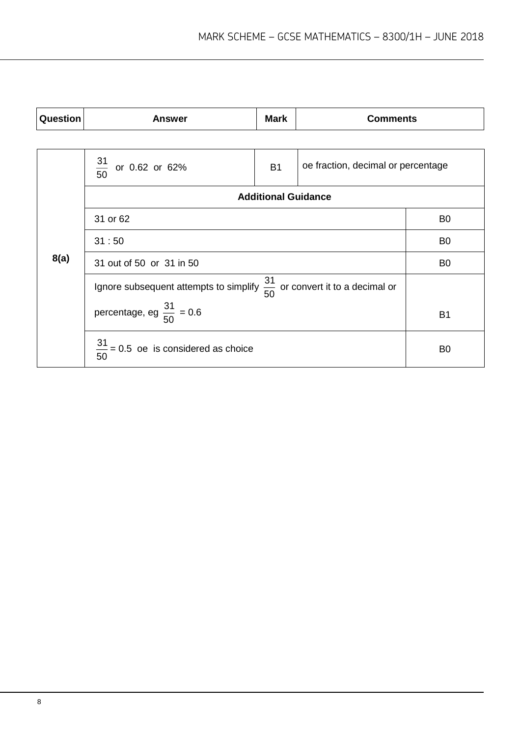| Question | <b>Answer</b>                                                                        | <b>Mark</b>                | <b>Comments</b>                    |                |
|----------|--------------------------------------------------------------------------------------|----------------------------|------------------------------------|----------------|
|          |                                                                                      |                            |                                    |                |
|          | $\frac{31}{50}$<br>or 0.62 or 62%                                                    | <b>B1</b>                  | oe fraction, decimal or percentage |                |
|          |                                                                                      | <b>Additional Guidance</b> |                                    |                |
|          | 31 or 62                                                                             |                            |                                    | B <sub>0</sub> |
|          | 31:50                                                                                | B <sub>0</sub>             |                                    |                |
| 8(a)     | 31 out of 50 or 31 in 50                                                             | B <sub>0</sub>             |                                    |                |
|          | Ignore subsequent attempts to simplify $\frac{31}{50}$ or convert it to a decimal or |                            |                                    |                |
|          | percentage, eg $\frac{31}{50}$ = 0.6                                                 |                            |                                    | <b>B1</b>      |
|          | $\frac{31}{50}$ = 0.5 oe is considered as choice                                     |                            |                                    | B <sub>0</sub> |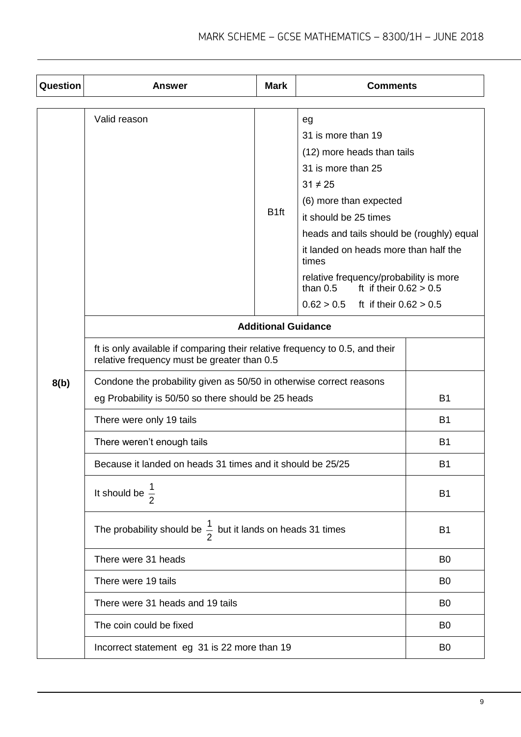| Question | <b>Answer</b>                                                                                                               | <b>Mark</b>                | <b>Comments</b>                                                                                                                                                                                                                                                                                                                                                              |                |
|----------|-----------------------------------------------------------------------------------------------------------------------------|----------------------------|------------------------------------------------------------------------------------------------------------------------------------------------------------------------------------------------------------------------------------------------------------------------------------------------------------------------------------------------------------------------------|----------------|
|          | Valid reason                                                                                                                | B <sub>1ft</sub>           | eg<br>31 is more than 19<br>(12) more heads than tails<br>31 is more than 25<br>$31 \neq 25$<br>(6) more than expected<br>it should be 25 times<br>heads and tails should be (roughly) equal<br>it landed on heads more than half the<br>times<br>relative frequency/probability is more<br>than $0.5$<br>ft if their $0.62 > 0.5$<br>0.62 > 0.5<br>ft if their $0.62 > 0.5$ |                |
|          |                                                                                                                             | <b>Additional Guidance</b> |                                                                                                                                                                                                                                                                                                                                                                              |                |
|          | ft is only available if comparing their relative frequency to 0.5, and their<br>relative frequency must be greater than 0.5 |                            |                                                                                                                                                                                                                                                                                                                                                                              |                |
| 8(b)     | Condone the probability given as 50/50 in otherwise correct reasons<br>eg Probability is 50/50 so there should be 25 heads  | <b>B1</b>                  |                                                                                                                                                                                                                                                                                                                                                                              |                |
|          | There were only 19 tails                                                                                                    |                            |                                                                                                                                                                                                                                                                                                                                                                              | <b>B1</b>      |
|          | There weren't enough tails                                                                                                  |                            |                                                                                                                                                                                                                                                                                                                                                                              | <b>B1</b>      |
|          | Because it landed on heads 31 times and it should be 25/25                                                                  |                            |                                                                                                                                                                                                                                                                                                                                                                              | B <sub>1</sub> |
|          | It should be $\frac{1}{2}$                                                                                                  |                            |                                                                                                                                                                                                                                                                                                                                                                              | B <sub>1</sub> |
|          | The probability should be $\frac{1}{2}$ but it lands on heads 31 times                                                      |                            |                                                                                                                                                                                                                                                                                                                                                                              | <b>B1</b>      |
|          | There were 31 heads                                                                                                         |                            |                                                                                                                                                                                                                                                                                                                                                                              | B <sub>0</sub> |
|          | There were 19 tails                                                                                                         |                            |                                                                                                                                                                                                                                                                                                                                                                              | B <sub>0</sub> |
|          | There were 31 heads and 19 tails                                                                                            |                            |                                                                                                                                                                                                                                                                                                                                                                              | B <sub>0</sub> |
|          | The coin could be fixed                                                                                                     |                            |                                                                                                                                                                                                                                                                                                                                                                              | B <sub>0</sub> |
|          | Incorrect statement eg 31 is 22 more than 19                                                                                |                            |                                                                                                                                                                                                                                                                                                                                                                              | B <sub>0</sub> |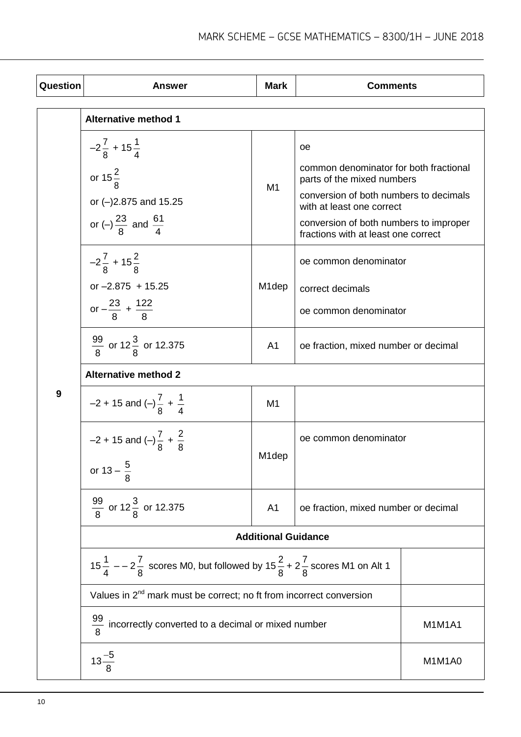| Question | <b>Answer</b>                                                                                                                 | <b>Mark</b>        | <b>Comments</b>                                                                                                                                                                                                                    |               |
|----------|-------------------------------------------------------------------------------------------------------------------------------|--------------------|------------------------------------------------------------------------------------------------------------------------------------------------------------------------------------------------------------------------------------|---------------|
|          | <b>Alternative method 1</b>                                                                                                   |                    |                                                                                                                                                                                                                                    |               |
|          | $-2\frac{7}{8}$ + 15 $\frac{1}{4}$<br>or $15\frac{2}{8}$<br>or (-)2.875 and 15.25<br>or (-) $\frac{23}{8}$ and $\frac{61}{4}$ | M <sub>1</sub>     | oе<br>common denominator for both fractional<br>parts of the mixed numbers<br>conversion of both numbers to decimals<br>with at least one correct<br>conversion of both numbers to improper<br>fractions with at least one correct |               |
|          | $-2\frac{7}{8}$ + 15 $\frac{2}{8}$<br>or $-2.875$ + 15.25<br>or $-\frac{23}{8}$ + $\frac{122}{8}$                             | M <sub>1</sub> dep | oe common denominator<br>correct decimals<br>oe common denominator                                                                                                                                                                 |               |
|          | $\frac{99}{8}$ or 12 $\frac{3}{8}$ or 12.375                                                                                  | A <sub>1</sub>     | oe fraction, mixed number or decimal                                                                                                                                                                                               |               |
|          | <b>Alternative method 2</b>                                                                                                   |                    |                                                                                                                                                                                                                                    |               |
| 9        | $-2 + 15$ and $\left(-\right)\frac{7}{8} + \frac{1}{4}$                                                                       | M1                 |                                                                                                                                                                                                                                    |               |
|          | $-2 + 15$ and $\left(-\right)\frac{7}{8} + \frac{2}{8}$<br>or $13 - \frac{5}{8}$                                              | M1dep              | oe common denominator                                                                                                                                                                                                              |               |
|          | $\frac{99}{8}$ or 12 $\frac{3}{8}$ or 12.375                                                                                  | A <sub>1</sub>     | oe fraction, mixed number or decimal                                                                                                                                                                                               |               |
|          | <b>Additional Guidance</b>                                                                                                    |                    |                                                                                                                                                                                                                                    |               |
|          | $15\frac{1}{4}$ – – 2 $\frac{7}{8}$ scores M0, but followed by $15\frac{2}{8}$ + 2 $\frac{7}{8}$ scores M1 on Alt 1           |                    |                                                                                                                                                                                                                                    |               |
|          | Values in $2^{nd}$ mark must be correct; no ft from incorrect conversion                                                      |                    |                                                                                                                                                                                                                                    |               |
|          | $\frac{99}{8}$ incorrectly converted to a decimal or mixed number                                                             |                    |                                                                                                                                                                                                                                    | <b>M1M1A1</b> |
|          | $13\frac{-5}{8}$                                                                                                              |                    |                                                                                                                                                                                                                                    | M1M1A0        |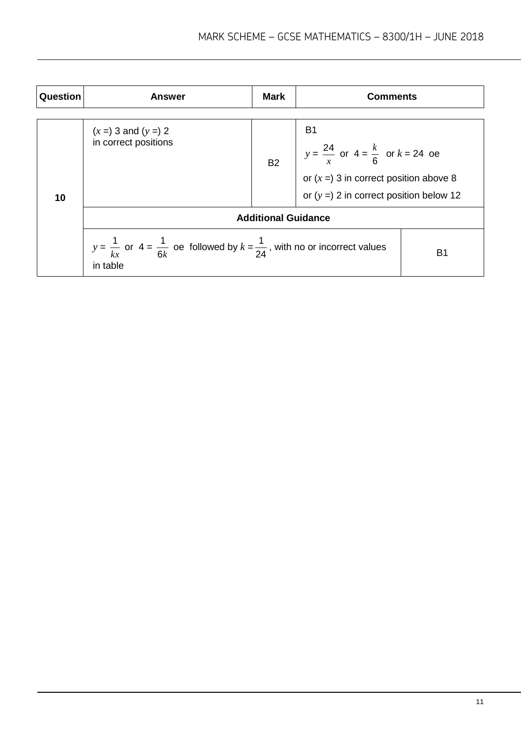| Question | <b>Answer</b>                                                                                                        | <b>Mark</b>                | <b>Comments</b>                                                                     |           |
|----------|----------------------------------------------------------------------------------------------------------------------|----------------------------|-------------------------------------------------------------------------------------|-----------|
|          | $(x = 3$ and $(y = 2)$<br>in correct positions                                                                       |                            | <b>B1</b><br>$y = \frac{24}{x}$ or $4 = \frac{k}{6}$ or $k = 24$ oe                 |           |
| 10       |                                                                                                                      | <b>B2</b>                  | or $(x = 3$ in correct position above 8<br>or $(y = 2$ in correct position below 12 |           |
|          |                                                                                                                      | <b>Additional Guidance</b> |                                                                                     |           |
|          | $y = \frac{1}{kx}$ or $4 = \frac{1}{6k}$ oe followed by $k = \frac{1}{24}$ , with no or incorrect values<br>in table |                            |                                                                                     | <b>B1</b> |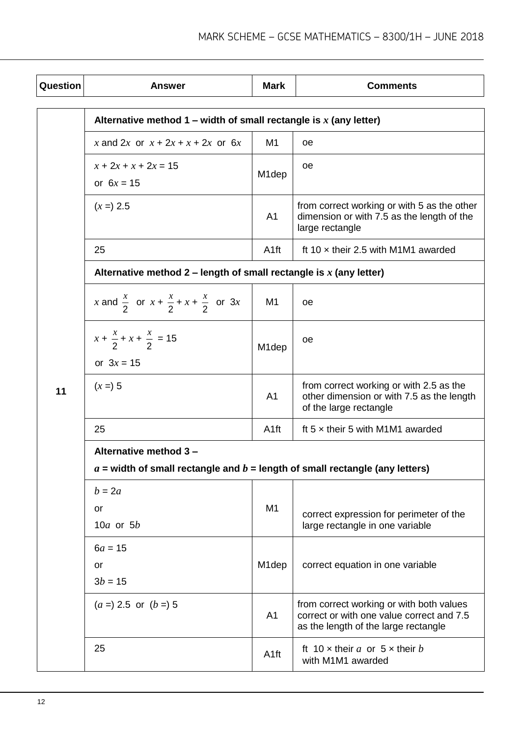| Question | <b>Answer</b>                                                                    | <b>Mark</b>        | <b>Comments</b>                                                                                                               |  |  |
|----------|----------------------------------------------------------------------------------|--------------------|-------------------------------------------------------------------------------------------------------------------------------|--|--|
|          | Alternative method 1 – width of small rectangle is x (any letter)                |                    |                                                                                                                               |  |  |
|          | x and 2x or $x + 2x + x + 2x$ or 6x                                              | M1                 | 0e                                                                                                                            |  |  |
|          | $x + 2x + x + 2x = 15$<br>or $6x = 15$                                           | M <sub>1</sub> dep | oe.                                                                                                                           |  |  |
|          | $(x =) 2.5$                                                                      | A <sub>1</sub>     | from correct working or with 5 as the other<br>dimension or with 7.5 as the length of the<br>large rectangle                  |  |  |
|          | 25                                                                               | A <sub>1ft</sub>   | ft 10 $\times$ their 2.5 with M1M1 awarded                                                                                    |  |  |
|          | Alternative method 2 – length of small rectangle is $x$ (any letter)             |                    |                                                                                                                               |  |  |
|          | x and $\frac{x}{2}$ or $x + \frac{x}{2} + x + \frac{x}{2}$ or 3x                 | M1                 | oе                                                                                                                            |  |  |
|          | $x + \frac{x}{2} + x + \frac{x}{2} = 15$                                         | M <sub>1</sub> dep | oе                                                                                                                            |  |  |
|          | or $3x = 15$                                                                     |                    |                                                                                                                               |  |  |
| 11       | $(x = 5)$                                                                        | A <sub>1</sub>     | from correct working or with 2.5 as the<br>other dimension or with 7.5 as the length<br>of the large rectangle                |  |  |
|          | 25                                                                               | A <sub>1ft</sub>   | ft $5 \times$ their 5 with M1M1 awarded                                                                                       |  |  |
|          | Alternative method 3 -                                                           |                    |                                                                                                                               |  |  |
|          | $a$ = width of small rectangle and $b$ = length of small rectangle (any letters) |                    |                                                                                                                               |  |  |
|          | $b = 2a$<br>or<br>10 $a$ or 5 $b$                                                | M <sub>1</sub>     | correct expression for perimeter of the<br>large rectangle in one variable                                                    |  |  |
|          | $6a = 15$<br>or<br>$3b = 15$                                                     | M <sub>1</sub> dep | correct equation in one variable                                                                                              |  |  |
|          | $(a = 2.5 \text{ or } (b = 5$                                                    | A <sub>1</sub>     | from correct working or with both values<br>correct or with one value correct and 7.5<br>as the length of the large rectangle |  |  |
|          | 25                                                                               | A <sub>1ft</sub>   | ft 10 x their a or $5 \times$ their b<br>with M1M1 awarded                                                                    |  |  |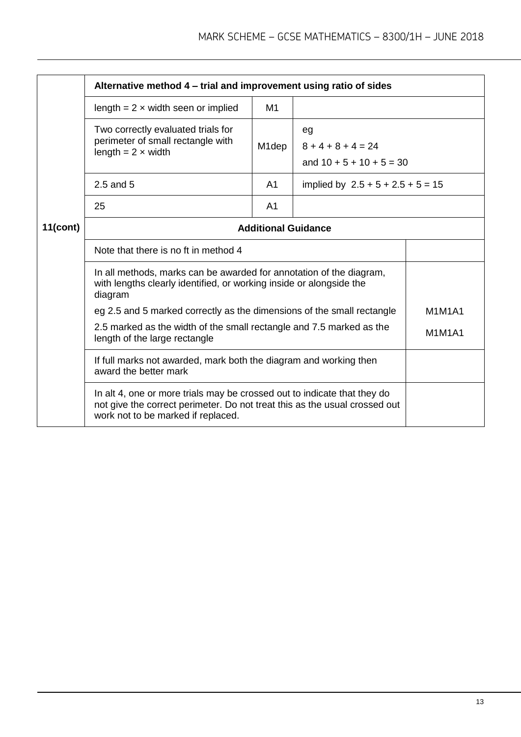|             | Alternative method 4 - trial and improvement using ratio of sides                                                                                                                                                                                                                                                                                                          |                    |                                                          |  |
|-------------|----------------------------------------------------------------------------------------------------------------------------------------------------------------------------------------------------------------------------------------------------------------------------------------------------------------------------------------------------------------------------|--------------------|----------------------------------------------------------|--|
|             | length = $2 \times$ width seen or implied                                                                                                                                                                                                                                                                                                                                  | M1                 |                                                          |  |
|             | Two correctly evaluated trials for<br>perimeter of small rectangle with<br>length = $2 \times$ width                                                                                                                                                                                                                                                                       | M <sub>1</sub> dep | eg<br>$8 + 4 + 8 + 4 = 24$<br>and $10 + 5 + 10 + 5 = 30$ |  |
|             | 2.5 and 5                                                                                                                                                                                                                                                                                                                                                                  | A <sub>1</sub>     | implied by $2.5 + 5 + 2.5 + 5 = 15$                      |  |
|             | 25                                                                                                                                                                                                                                                                                                                                                                         | A <sub>1</sub>     |                                                          |  |
| $11$ (cont) | <b>Additional Guidance</b>                                                                                                                                                                                                                                                                                                                                                 |                    |                                                          |  |
|             | Note that there is no ft in method 4                                                                                                                                                                                                                                                                                                                                       |                    |                                                          |  |
|             | In all methods, marks can be awarded for annotation of the diagram,<br>with lengths clearly identified, or working inside or alongside the<br>diagram<br>eg 2.5 and 5 marked correctly as the dimensions of the small rectangle<br><b>M1M1A1</b><br>2.5 marked as the width of the small rectangle and 7.5 marked as the<br><b>M1M1A1</b><br>length of the large rectangle |                    |                                                          |  |
|             |                                                                                                                                                                                                                                                                                                                                                                            |                    |                                                          |  |
|             |                                                                                                                                                                                                                                                                                                                                                                            |                    |                                                          |  |
|             | If full marks not awarded, mark both the diagram and working then<br>award the better mark                                                                                                                                                                                                                                                                                 |                    |                                                          |  |
|             | In alt 4, one or more trials may be crossed out to indicate that they do<br>not give the correct perimeter. Do not treat this as the usual crossed out<br>work not to be marked if replaced.                                                                                                                                                                               |                    |                                                          |  |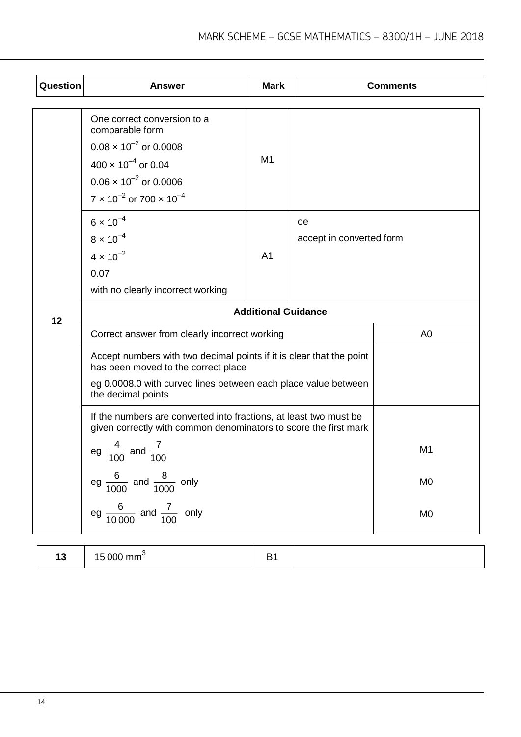| Question | <b>Answer</b>                                                                                                                                                                                       | <b>Mark</b>    |                                       | <b>Comments</b> |
|----------|-----------------------------------------------------------------------------------------------------------------------------------------------------------------------------------------------------|----------------|---------------------------------------|-----------------|
|          | One correct conversion to a<br>comparable form<br>$0.08 \times 10^{-2}$ or 0.0008<br>$400 \times 10^{-4}$ or 0.04<br>$0.06 \times 10^{-2}$ or 0.0006<br>$7 \times 10^{-2}$ or $700 \times 10^{-4}$  | M1             |                                       |                 |
|          | $6 \times 10^{-4}$<br>$8 \times 10^{-4}$<br>$4 \times 10^{-2}$<br>0.07<br>with no clearly incorrect working                                                                                         | A <sub>1</sub> | <b>oe</b><br>accept in converted form |                 |
| 12       | <b>Additional Guidance</b>                                                                                                                                                                          |                |                                       |                 |
|          | Correct answer from clearly incorrect working                                                                                                                                                       |                |                                       | A <sub>0</sub>  |
|          | Accept numbers with two decimal points if it is clear that the point<br>has been moved to the correct place<br>eg 0.0008.0 with curved lines between each place value between<br>the decimal points |                |                                       |                 |
|          | If the numbers are converted into fractions, at least two must be<br>given correctly with common denominators to score the first mark                                                               |                |                                       |                 |
|          | eg $\frac{4}{100}$ and $\frac{7}{100}$                                                                                                                                                              |                |                                       | M <sub>1</sub>  |
|          | eg $\frac{6}{1000}$ and $\frac{8}{1000}$ only                                                                                                                                                       |                |                                       | M <sub>0</sub>  |
|          | eg $\frac{6}{10000}$ and $\frac{7}{100}$ only                                                                                                                                                       |                |                                       | M <sub>0</sub>  |

| $\overline{\phantom{a}}$<br>$\sim$ 000 $\sim$<br>. .<br>$- - - -$<br>∖ ∪∪∪ ⊓⊞⊔<br>ט ו<br>_<br>- |  |
|-------------------------------------------------------------------------------------------------|--|
|-------------------------------------------------------------------------------------------------|--|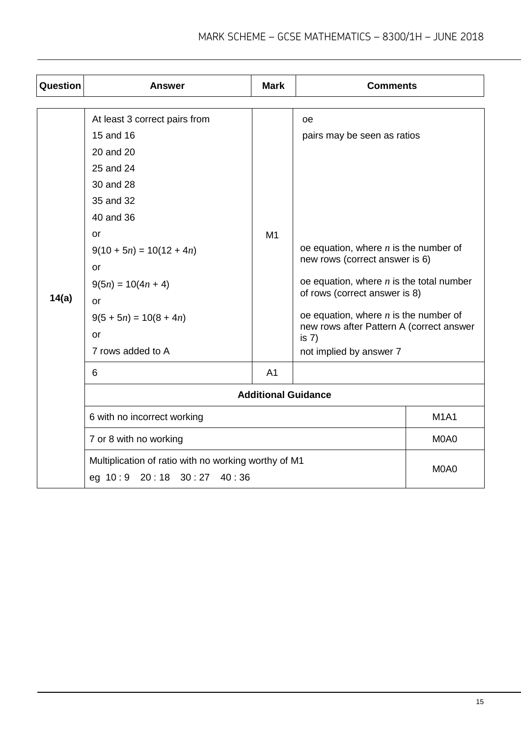| <b>Question</b> | <b>Answer</b>                                                                                                                                                                                                                              | <b>Mark</b>                | <b>Comments</b>                                                                                                                                                                                                                                                                                                                   |             |
|-----------------|--------------------------------------------------------------------------------------------------------------------------------------------------------------------------------------------------------------------------------------------|----------------------------|-----------------------------------------------------------------------------------------------------------------------------------------------------------------------------------------------------------------------------------------------------------------------------------------------------------------------------------|-------------|
| 14(a)           | At least 3 correct pairs from<br>15 and 16<br>20 and 20<br>25 and 24<br>30 and 28<br>35 and 32<br>40 and 36<br>or<br>$9(10 + 5n) = 10(12 + 4n)$<br>or<br>$9(5n) = 10(4n + 4)$<br>or<br>$9(5 + 5n) = 10(8 + 4n)$<br>or<br>7 rows added to A | M1                         | <b>oe</b><br>pairs may be seen as ratios<br>oe equation, where $n$ is the number of<br>new rows (correct answer is 6)<br>oe equation, where $n$ is the total number<br>of rows (correct answer is 8)<br>oe equation, where $n$ is the number of<br>new rows after Pattern A (correct answer<br>is $7)$<br>not implied by answer 7 |             |
|                 | 6                                                                                                                                                                                                                                          | A <sub>1</sub>             |                                                                                                                                                                                                                                                                                                                                   |             |
|                 |                                                                                                                                                                                                                                            | <b>Additional Guidance</b> |                                                                                                                                                                                                                                                                                                                                   |             |
|                 | 6 with no incorrect working                                                                                                                                                                                                                |                            |                                                                                                                                                                                                                                                                                                                                   | <b>M1A1</b> |
|                 | 7 or 8 with no working                                                                                                                                                                                                                     |                            |                                                                                                                                                                                                                                                                                                                                   | M0A0        |
|                 | Multiplication of ratio with no working worthy of M1<br>eg 10:9 20:18 30:27 40:36                                                                                                                                                          |                            |                                                                                                                                                                                                                                                                                                                                   | M0A0        |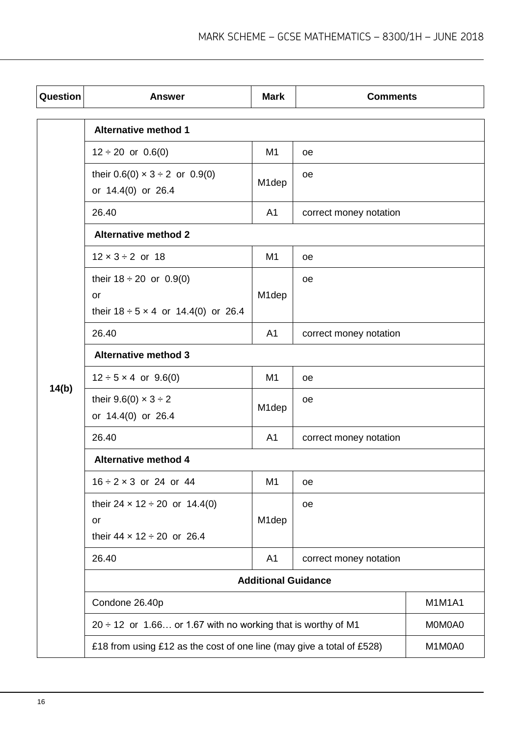| Question | <b>Answer</b>                                                                                | <b>Mark</b>                                                           | <b>Comments</b>        |               |
|----------|----------------------------------------------------------------------------------------------|-----------------------------------------------------------------------|------------------------|---------------|
|          | <b>Alternative method 1</b>                                                                  |                                                                       |                        |               |
|          | $12 \div 20$ or $0.6(0)$                                                                     | M <sub>1</sub>                                                        | 0e                     |               |
|          | their $0.6(0) \times 3 \div 2$ or $0.9(0)$<br>or 14.4(0) or 26.4                             | M <sub>1</sub> dep                                                    | oe                     |               |
|          | 26.40                                                                                        | A <sub>1</sub>                                                        | correct money notation |               |
|          | <b>Alternative method 2</b>                                                                  |                                                                       |                        |               |
|          | $12 \times 3 \div 2$ or 18                                                                   | M <sub>1</sub>                                                        | <b>oe</b>              |               |
|          | their $18 \div 20$ or 0.9(0)<br><b>or</b><br>their $18 \div 5 \times 4$ or $14.4(0)$ or 26.4 | M <sub>1</sub> dep                                                    | <b>oe</b>              |               |
|          | 26.40                                                                                        | A <sub>1</sub>                                                        | correct money notation |               |
|          | <b>Alternative method 3</b>                                                                  |                                                                       |                        |               |
|          | $12 \div 5 \times 4$ or 9.6(0)                                                               | M <sub>1</sub>                                                        | <b>oe</b>              |               |
| 14(b)    | their 9.6(0) $\times$ 3 ÷ 2<br>or 14.4(0) or 26.4                                            | M <sub>1</sub> dep                                                    | oe                     |               |
|          | 26.40                                                                                        | A <sub>1</sub>                                                        | correct money notation |               |
|          | <b>Alternative method 4</b>                                                                  |                                                                       |                        |               |
|          | $16 \div 2 \times 3$ or 24 or 44                                                             | M <sub>1</sub>                                                        | oe                     |               |
|          | their $24 \times 12 \div 20$ or 14.4(0)<br>or<br>their $44 \times 12 \div 20$ or 26.4        | M <sub>1</sub> dep                                                    | oe                     |               |
|          | 26.40                                                                                        | A <sub>1</sub>                                                        | correct money notation |               |
|          | <b>Additional Guidance</b>                                                                   |                                                                       |                        |               |
|          | Condone 26.40p                                                                               |                                                                       |                        | <b>M1M1A1</b> |
|          | $20 \div 12$ or 1.66 or 1.67 with no working that is worthy of M1                            |                                                                       |                        | M0M0A0        |
|          |                                                                                              | £18 from using £12 as the cost of one line (may give a total of £528) |                        |               |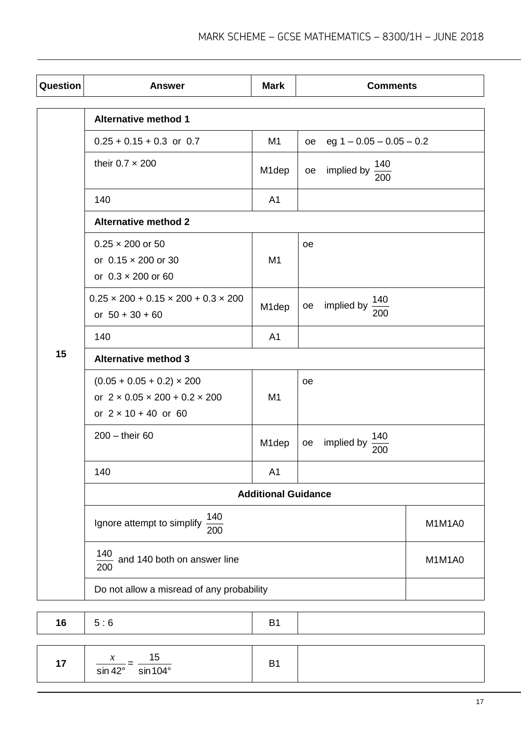| Question | <b>Answer</b>                                                                                                     | <b>Mark</b>                | <b>Comments</b>                       |  |  |  |
|----------|-------------------------------------------------------------------------------------------------------------------|----------------------------|---------------------------------------|--|--|--|
|          | <b>Alternative method 1</b>                                                                                       |                            |                                       |  |  |  |
|          | $0.25 + 0.15 + 0.3$ or 0.7                                                                                        | M <sub>1</sub>             | eg $1 - 0.05 - 0.05 - 0.2$<br>oe      |  |  |  |
|          | their $0.7 \times 200$                                                                                            | M <sub>1</sub> dep         | $\frac{140}{200}$<br>implied by<br>oe |  |  |  |
|          | 140                                                                                                               | A <sub>1</sub>             |                                       |  |  |  |
|          | <b>Alternative method 2</b>                                                                                       |                            |                                       |  |  |  |
|          | $0.25 \times 200$ or 50<br>or $0.15 \times 200$ or 30<br>or $0.3 \times 200$ or 60                                | M <sub>1</sub>             | <b>oe</b>                             |  |  |  |
|          | $0.25 \times 200 + 0.15 \times 200 + 0.3 \times 200$<br>or $50 + 30 + 60$                                         | M <sub>1</sub> dep         | 140<br>implied by<br>oe<br>200        |  |  |  |
|          | 140                                                                                                               | A <sub>1</sub>             |                                       |  |  |  |
| 15       | <b>Alternative method 3</b>                                                                                       |                            |                                       |  |  |  |
|          | $(0.05 + 0.05 + 0.2) \times 200$<br>or $2 \times 0.05 \times 200 + 0.2 \times 200$<br>or $2 \times 10 + 40$ or 60 | M <sub>1</sub>             | <b>oe</b>                             |  |  |  |
|          | $200 -$ their 60                                                                                                  | M1dep                      | 140<br>implied by<br>oe<br>200        |  |  |  |
|          | 140                                                                                                               | A <sub>1</sub>             |                                       |  |  |  |
|          |                                                                                                                   | <b>Additional Guidance</b> |                                       |  |  |  |
|          | 140<br>Ignore attempt to simplify<br>$\overline{200}$                                                             |                            | M1M1A0                                |  |  |  |
|          | 140<br>and 140 both on answer line<br>200                                                                         | M1M1A0                     |                                       |  |  |  |
|          | Do not allow a misread of any probability                                                                         |                            |                                       |  |  |  |

| 16 | 5:6                                                                                      | B <sub>1</sub> |  |
|----|------------------------------------------------------------------------------------------|----------------|--|
| 17 | 15<br>$\boldsymbol{\mathcal{X}}$<br>$\frac{1}{\sin 42^\circ} = \frac{1}{\sin 104^\circ}$ | B1             |  |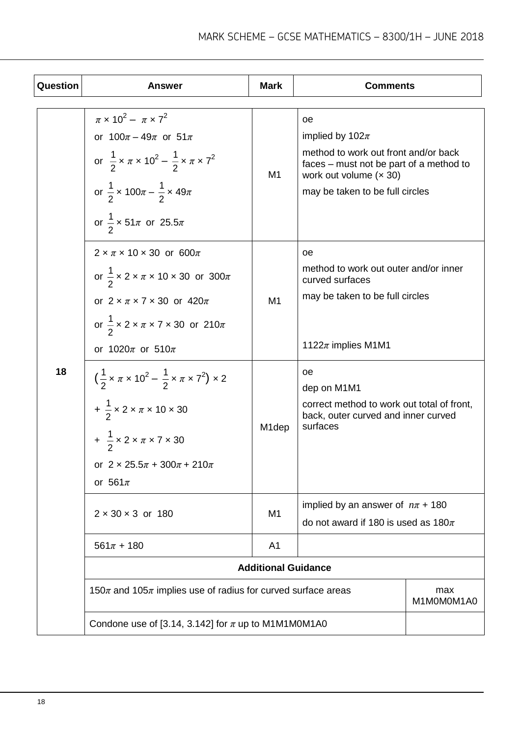| Question | <b>Answer</b>                                                                                                                                                                                                                                                                   | <b>Mark</b>                | <b>Comments</b>                                                                                                                                                             |                   |
|----------|---------------------------------------------------------------------------------------------------------------------------------------------------------------------------------------------------------------------------------------------------------------------------------|----------------------------|-----------------------------------------------------------------------------------------------------------------------------------------------------------------------------|-------------------|
|          | $\pi \times 10^2 - \pi \times 7^2$<br>or $100\pi - 49\pi$ or $51\pi$<br>or $\frac{1}{2} \times \pi \times 10^2 - \frac{1}{2} \times \pi \times 7^2$<br>or $\frac{1}{2}$ x 100 $\pi - \frac{1}{2}$ x 49 $\pi$<br>or $\frac{1}{2} \times 51\pi$ or 25.5 $\pi$                     | M <sub>1</sub>             | оe<br>implied by $102\pi$<br>method to work out front and/or back<br>faces – must not be part of a method to<br>work out volume $(x 30)$<br>may be taken to be full circles |                   |
|          | $2 \times \pi \times 10 \times 30$ or 600 $\pi$<br>or $\frac{1}{2} \times 2 \times \pi \times 10 \times 30$ or $300\pi$<br>or $2 \times \pi \times 7 \times 30$ or $420\pi$<br>or $\frac{1}{2} \times 2 \times \pi \times 7 \times 30$ or 210 $\pi$<br>or $1020\pi$ or $510\pi$ | M <sub>1</sub>             | oe.<br>method to work out outer and/or inner<br>curved surfaces<br>may be taken to be full circles<br>1122 $\pi$ implies M1M1                                               |                   |
| 18       | $\left(\frac{1}{2} \times \pi \times 10^{2} - \frac{1}{2} \times \pi \times 7^{2}\right) \times 2$<br>$+\frac{1}{2} \times 2 \times \pi \times 10 \times 30$<br>+ $\frac{1}{2}$ x 2 x $\pi$ x 7 x 30<br>or $2 \times 25.5\pi + 300\pi + 210\pi$<br>or $561\pi$                  | M <sub>1</sub> dep         | оe<br>dep on M1M1<br>correct method to work out total of front,<br>back, outer curved and inner curved<br>surfaces                                                          |                   |
|          | $2 \times 30 \times 3$ or 180                                                                                                                                                                                                                                                   | M1                         | implied by an answer of $n\pi$ + 180<br>do not award if 180 is used as $180\pi$                                                                                             |                   |
|          | $561\pi + 180$                                                                                                                                                                                                                                                                  | A <sub>1</sub>             |                                                                                                                                                                             |                   |
|          |                                                                                                                                                                                                                                                                                 | <b>Additional Guidance</b> |                                                                                                                                                                             |                   |
|          | 150 $\pi$ and 105 $\pi$ implies use of radius for curved surface areas                                                                                                                                                                                                          |                            |                                                                                                                                                                             | max<br>M1M0M0M1A0 |
|          | Condone use of [3.14, 3.142] for $\pi$ up to M1M1M0M1A0                                                                                                                                                                                                                         |                            |                                                                                                                                                                             |                   |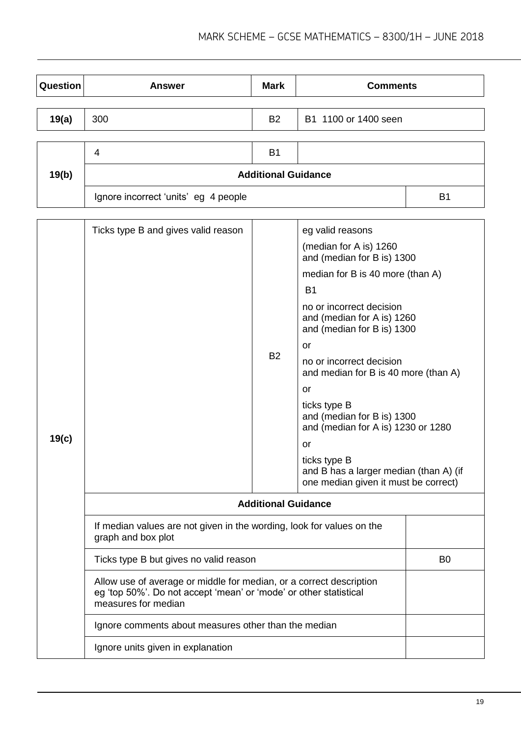| Question | <b>Answer</b>                        | <b>Mark</b>                | <b>Comments</b>      |                |
|----------|--------------------------------------|----------------------------|----------------------|----------------|
|          |                                      |                            |                      |                |
| 19(a)    | 300                                  | <b>B2</b>                  | B1 1100 or 1400 seen |                |
|          |                                      |                            |                      |                |
|          | 4                                    | <b>B1</b>                  |                      |                |
| 19(b)    |                                      | <b>Additional Guidance</b> |                      |                |
|          | Ignore incorrect 'units' eg 4 people |                            |                      | B <sub>1</sub> |

|       | Ticks type B and gives valid reason                                                                                                                             |           | eg valid reasons                                                                     |                |  |
|-------|-----------------------------------------------------------------------------------------------------------------------------------------------------------------|-----------|--------------------------------------------------------------------------------------|----------------|--|
|       |                                                                                                                                                                 |           | (median for A is) 1260<br>and (median for B is) 1300                                 |                |  |
|       |                                                                                                                                                                 |           | median for B is 40 more (than A)                                                     |                |  |
|       |                                                                                                                                                                 |           | <b>B1</b>                                                                            |                |  |
|       |                                                                                                                                                                 | <b>B2</b> | no or incorrect decision<br>and (median for A is) 1260<br>and (median for B is) 1300 |                |  |
|       |                                                                                                                                                                 |           | or                                                                                   |                |  |
|       |                                                                                                                                                                 |           | no or incorrect decision<br>and median for B is 40 more (than A)                     |                |  |
|       |                                                                                                                                                                 |           | or                                                                                   |                |  |
|       |                                                                                                                                                                 |           | ticks type B<br>and (median for B is) 1300<br>and (median for A is) 1230 or 1280     |                |  |
| 19(c) |                                                                                                                                                                 |           | or                                                                                   |                |  |
|       |                                                                                                                                                                 |           | ticks type B                                                                         |                |  |
|       |                                                                                                                                                                 |           | and B has a larger median (than A) (if<br>one median given it must be correct)       |                |  |
|       | <b>Additional Guidance</b>                                                                                                                                      |           |                                                                                      |                |  |
|       | If median values are not given in the wording, look for values on the<br>graph and box plot                                                                     |           |                                                                                      |                |  |
|       | Ticks type B but gives no valid reason                                                                                                                          |           |                                                                                      | B <sub>0</sub> |  |
|       | Allow use of average or middle for median, or a correct description<br>eg 'top 50%'. Do not accept 'mean' or 'mode' or other statistical<br>measures for median |           |                                                                                      |                |  |
|       | Ignore comments about measures other than the median                                                                                                            |           |                                                                                      |                |  |
|       | Ignore units given in explanation                                                                                                                               |           |                                                                                      |                |  |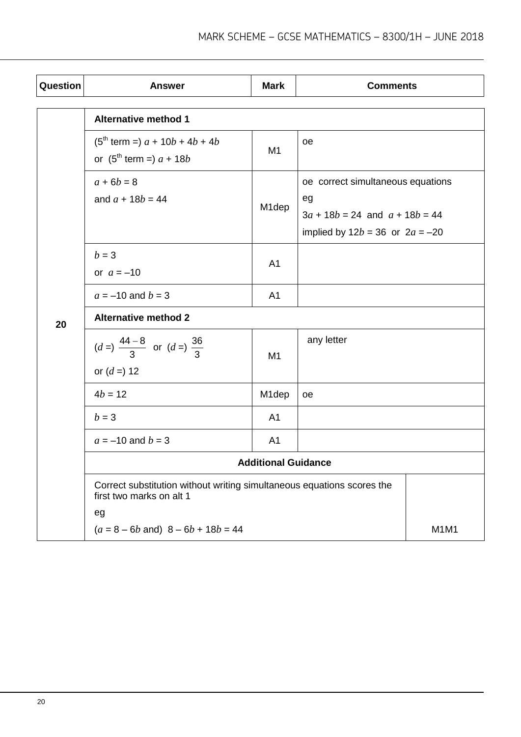| Question | <b>Answer</b>                                                                                      | <b>Mark</b>        | <b>Comments</b>                                                                                                      |      |
|----------|----------------------------------------------------------------------------------------------------|--------------------|----------------------------------------------------------------------------------------------------------------------|------|
|          | <b>Alternative method 1</b>                                                                        |                    |                                                                                                                      |      |
|          | $(5^{th}$ term =) $a + 10b + 4b + 4b$<br>or $(5^{th}$ term =) $a + 18b$                            | M <sub>1</sub>     | oe                                                                                                                   |      |
|          | $a + 6b = 8$<br>and $a + 18b = 44$                                                                 | M <sub>1</sub> dep | oe correct simultaneous equations<br>eg<br>$3a + 18b = 24$ and $a + 18b = 44$<br>implied by $12b = 36$ or $2a = -20$ |      |
|          | $b=3$<br>or $a = -10$                                                                              | A <sub>1</sub>     |                                                                                                                      |      |
|          | $a = -10$ and $b = 3$                                                                              | A <sub>1</sub>     |                                                                                                                      |      |
| 20       | <b>Alternative method 2</b>                                                                        |                    |                                                                                                                      |      |
|          | $(d =)$ $\frac{44-8}{3}$ or $(d =)$ $\frac{36}{3}$<br>or $(d =) 12$                                | M <sub>1</sub>     | any letter                                                                                                           |      |
|          | $4b = 12$                                                                                          | M <sub>1</sub> dep | oe                                                                                                                   |      |
|          | $b=3$                                                                                              | A <sub>1</sub>     |                                                                                                                      |      |
|          | $a = -10$ and $b = 3$                                                                              | A <sub>1</sub>     |                                                                                                                      |      |
|          | <b>Additional Guidance</b>                                                                         |                    |                                                                                                                      |      |
|          | Correct substitution without writing simultaneous equations scores the<br>first two marks on alt 1 |                    |                                                                                                                      |      |
|          | eg                                                                                                 |                    |                                                                                                                      |      |
|          | $(a = 8 - 6b$ and) $8 - 6b + 18b = 44$                                                             |                    |                                                                                                                      | M1M1 |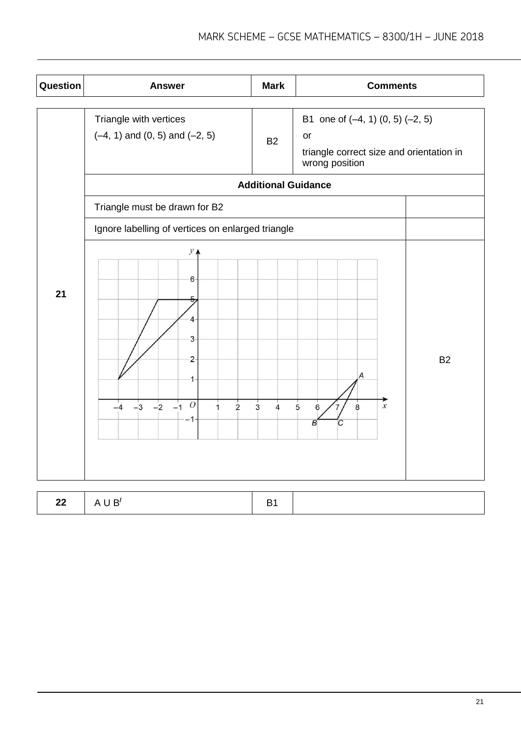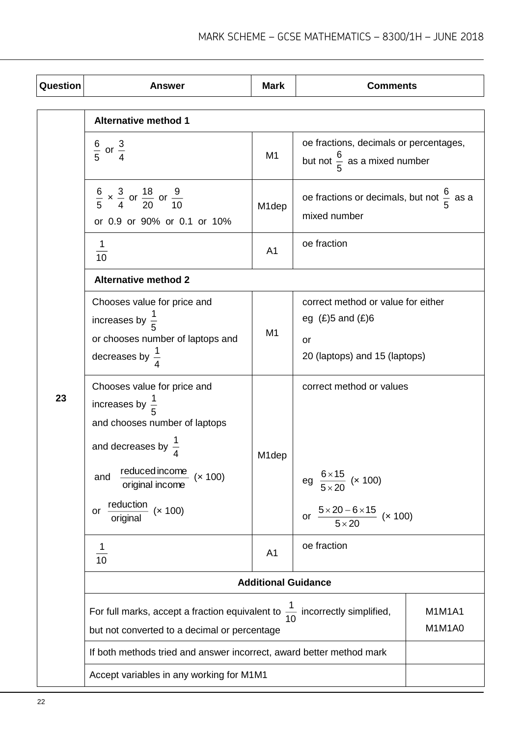| <b>Question</b> | <b>Answer</b>                                                                                                                                                                       | <b>Mark</b>        | <b>Comments</b>                                                                                     |                  |
|-----------------|-------------------------------------------------------------------------------------------------------------------------------------------------------------------------------------|--------------------|-----------------------------------------------------------------------------------------------------|------------------|
|                 | <b>Alternative method 1</b>                                                                                                                                                         |                    |                                                                                                     |                  |
|                 | $rac{6}{5}$ or $rac{3}{4}$                                                                                                                                                          | M <sub>1</sub>     | oe fractions, decimals or percentages,<br>but not $\frac{6}{5}$ as a mixed number                   |                  |
|                 | $\frac{6}{5}$ x $\frac{3}{4}$ or $\frac{18}{20}$ or $\frac{9}{10}$<br>or 0.9 or 90% or 0.1 or 10%                                                                                   | M1dep              | oe fractions or decimals, but not $\frac{6}{5}$ as a<br>mixed number                                |                  |
|                 | $\mathbf{1}$<br>10                                                                                                                                                                  | A <sub>1</sub>     | oe fraction                                                                                         |                  |
|                 | <b>Alternative method 2</b>                                                                                                                                                         |                    |                                                                                                     |                  |
|                 | Chooses value for price and<br>increases by $\frac{1}{5}$<br>or chooses number of laptops and<br>decreases by $\frac{1}{4}$                                                         | M1                 | correct method or value for either<br>eg $(E)$ 5 and $(E)$ 6<br>or<br>20 (laptops) and 15 (laptops) |                  |
| 23              | Chooses value for price and<br>increases by $\frac{1}{5}$<br>and chooses number of laptops<br>and decreases by $\frac{1}{4}$<br>reduced income<br>(x 100)<br>and<br>original income | M <sub>1</sub> dep | correct method or values<br>$\frac{6\times15}{5\times20}$ (x 100)<br>eg                             |                  |
|                 | reduction<br>(x 100)<br>or<br>original                                                                                                                                              | A <sub>1</sub>     | $\frac{5 \times 20 - 6 \times 15}{5 \times 20}$ (× 100)<br>or                                       |                  |
|                 | 1<br>10                                                                                                                                                                             |                    | oe fraction                                                                                         |                  |
|                 | <b>Additional Guidance</b><br>For full marks, accept a fraction equivalent to $\frac{1}{10}$ incorrectly simplified,<br>but not converted to a decimal or percentage                |                    |                                                                                                     |                  |
|                 |                                                                                                                                                                                     |                    |                                                                                                     | M1M1A1<br>M1M1A0 |
|                 | If both methods tried and answer incorrect, award better method mark                                                                                                                |                    |                                                                                                     |                  |
|                 | Accept variables in any working for M1M1                                                                                                                                            |                    |                                                                                                     |                  |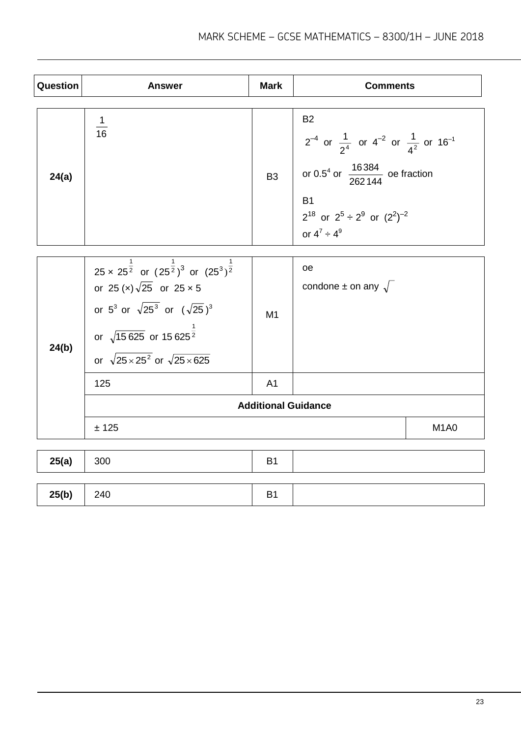| Question | <b>Answer</b>                                                                                                                                                                                                                                                                         | <b>Mark</b>                | <b>Comments</b>                                                                                                                                                                                                                   |                               |
|----------|---------------------------------------------------------------------------------------------------------------------------------------------------------------------------------------------------------------------------------------------------------------------------------------|----------------------------|-----------------------------------------------------------------------------------------------------------------------------------------------------------------------------------------------------------------------------------|-------------------------------|
| 24(a)    | $\frac{1}{16}$                                                                                                                                                                                                                                                                        | B <sub>3</sub>             | <b>B2</b><br>$2^{-4}$ or $\frac{1}{2^4}$ or $4^{-2}$ or $\frac{1}{4^2}$ or $16^{-1}$<br>or 0.5 <sup>4</sup> or $\frac{16384}{262144}$ oe fraction<br><b>B1</b><br>$2^{18}$ or $2^5 \div 2^9$ or $(2^2)^{-2}$<br>or $4^7 \div 4^9$ |                               |
| 24(b)    | 25 x 25 <sup><math>\frac{1}{2}</math></sup> or $(25^{\frac{1}{2}})^3$ or $(25^3)^{\frac{1}{2}}$<br>or 25 (x) $\sqrt{25}$ or 25 x 5<br>or $5^3$ or $\sqrt{25^3}$ or $(\sqrt{25})^3$<br>or $\sqrt{15625}$ or 15625 <sup>2</sup><br>or $\sqrt{25 \times 25^2}$ or $\sqrt{25 \times 625}$ | M1                         | oe<br>condone $\pm$ on any $\sqrt{\phantom{a}}$                                                                                                                                                                                   |                               |
|          | 125                                                                                                                                                                                                                                                                                   | A <sub>1</sub>             |                                                                                                                                                                                                                                   |                               |
|          |                                                                                                                                                                                                                                                                                       | <b>Additional Guidance</b> |                                                                                                                                                                                                                                   |                               |
|          | ± 125                                                                                                                                                                                                                                                                                 |                            |                                                                                                                                                                                                                                   | M <sub>1</sub> A <sub>0</sub> |
| 25(a)    | 300                                                                                                                                                                                                                                                                                   | <b>B1</b>                  |                                                                                                                                                                                                                                   |                               |

| 25(b) | 240 |  |
|-------|-----|--|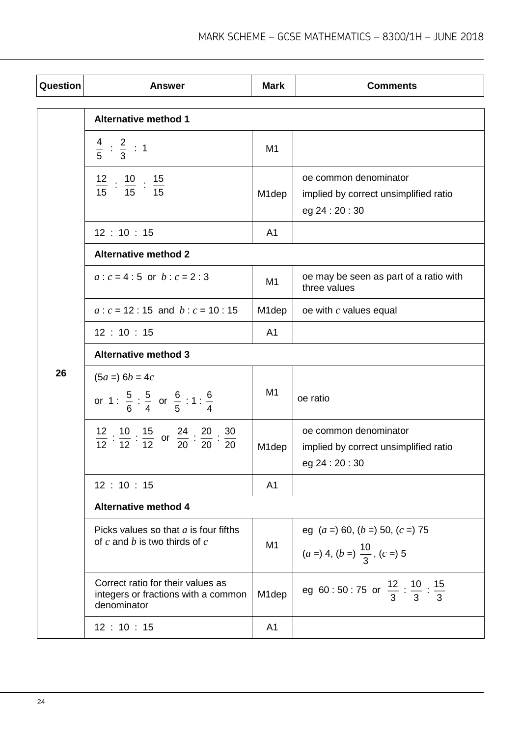| Question | <b>Answer</b>                                                                                              | <b>Mark</b>        | <b>Comments</b>                                                                   |  |  |
|----------|------------------------------------------------------------------------------------------------------------|--------------------|-----------------------------------------------------------------------------------|--|--|
|          | <b>Alternative method 1</b>                                                                                |                    |                                                                                   |  |  |
|          | $rac{4}{5}$ : $rac{2}{3}$ : 1                                                                              | M <sub>1</sub>     |                                                                                   |  |  |
|          | $\frac{12}{15}$ : $\frac{10}{15}$ : $\frac{15}{15}$                                                        | M <sub>1</sub> dep | oe common denominator<br>implied by correct unsimplified ratio<br>eg 24 : 20 : 30 |  |  |
|          | 12:10:15                                                                                                   | A <sub>1</sub>     |                                                                                   |  |  |
|          | <b>Alternative method 2</b>                                                                                |                    |                                                                                   |  |  |
|          | $a: c = 4:5$ or $b: c = 2:3$                                                                               | M <sub>1</sub>     | oe may be seen as part of a ratio with<br>three values                            |  |  |
|          | $a: c = 12: 15$ and $b: c = 10: 15$                                                                        | M <sub>1</sub> dep | oe with $c$ values equal                                                          |  |  |
|          | 12:10:15                                                                                                   | A <sub>1</sub>     |                                                                                   |  |  |
|          | <b>Alternative method 3</b>                                                                                |                    |                                                                                   |  |  |
| 26       | $(5a =) 6b = 4c$                                                                                           |                    |                                                                                   |  |  |
|          | or 1 : $\frac{5}{6}$ : $\frac{5}{4}$ or $\frac{6}{5}$ : 1 : $\frac{6}{4}$                                  | M <sub>1</sub>     | oe ratio                                                                          |  |  |
|          | $\frac{12}{12}$ : $\frac{10}{12}$ : $\frac{15}{12}$ or $\frac{24}{20}$ : $\frac{20}{20}$ : $\frac{30}{20}$ | M <sub>1</sub> dep | oe common denominator<br>implied by correct unsimplified ratio<br>eg 24 : 20 : 30 |  |  |
|          | 12:10:15                                                                                                   | A <sub>1</sub>     |                                                                                   |  |  |
|          | <b>Alternative method 4</b>                                                                                |                    |                                                                                   |  |  |
|          | Picks values so that $a$ is four fifths<br>of $c$ and $b$ is two thirds of $c$                             | M <sub>1</sub>     | eg $(a = 60, (b = 50, (c = 75$<br>$(a =) 4, (b =) \frac{10}{3}, (c =) 5$          |  |  |
|          | Correct ratio for their values as<br>integers or fractions with a common<br>denominator                    | M <sub>1</sub> dep | eg 60:50:75 or $\frac{12}{3} : \frac{10}{3} : \frac{15}{3}$                       |  |  |
|          | 12:10:15                                                                                                   | A <sub>1</sub>     |                                                                                   |  |  |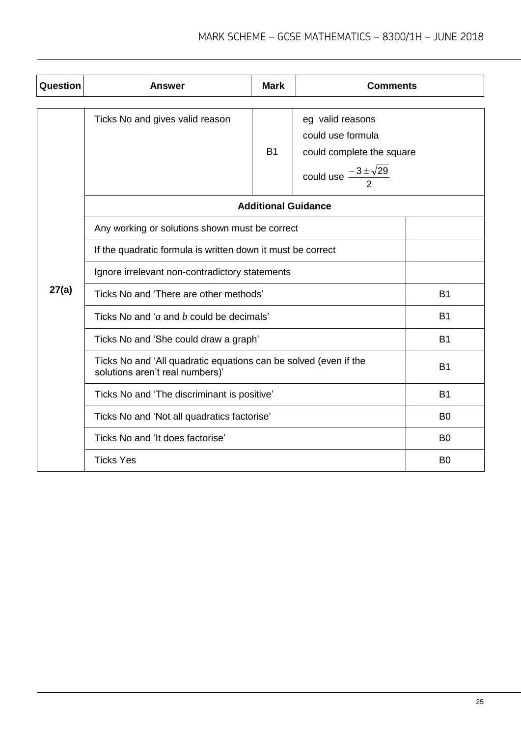| Question | <b>Answer</b>                                                                                       | <b>Mark</b>                | <b>Comments</b>                                                                                            |                |
|----------|-----------------------------------------------------------------------------------------------------|----------------------------|------------------------------------------------------------------------------------------------------------|----------------|
|          | Ticks No and gives valid reason                                                                     | <b>B1</b>                  | eg valid reasons<br>could use formula<br>could complete the square<br>could use $\frac{-3\pm\sqrt{29}}{2}$ |                |
|          |                                                                                                     | <b>Additional Guidance</b> |                                                                                                            |                |
| 27(a)    | Any working or solutions shown must be correct                                                      |                            |                                                                                                            |                |
|          | If the quadratic formula is written down it must be correct                                         |                            |                                                                                                            |                |
|          | Ignore irrelevant non-contradictory statements                                                      |                            |                                                                                                            |                |
|          | Ticks No and 'There are other methods'                                                              |                            |                                                                                                            | <b>B1</b>      |
|          | Ticks No and 'a and b could be decimals'                                                            |                            |                                                                                                            | <b>B1</b>      |
|          | Ticks No and 'She could draw a graph'                                                               |                            |                                                                                                            | <b>B1</b>      |
|          | Ticks No and 'All quadratic equations can be solved (even if the<br>solutions aren't real numbers)' |                            |                                                                                                            | <b>B1</b>      |
|          | Ticks No and 'The discriminant is positive'                                                         |                            |                                                                                                            | <b>B1</b>      |
|          | Ticks No and 'Not all quadratics factorise'                                                         |                            |                                                                                                            | B <sub>0</sub> |
|          | Ticks No and 'It does factorise'                                                                    |                            |                                                                                                            | B <sub>0</sub> |
|          | <b>Ticks Yes</b>                                                                                    |                            |                                                                                                            | B <sub>0</sub> |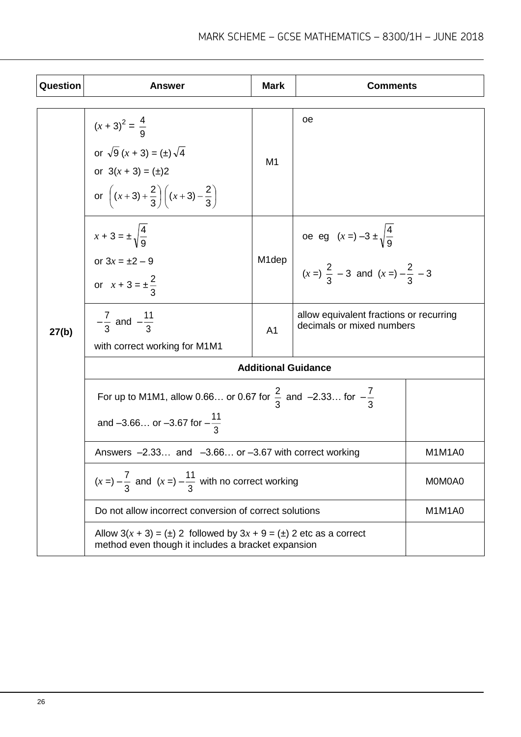| Question | <b>Answer</b>                                                                                                                    | <b>Mark</b>                                                                            | <b>Comments</b>                                  |        |  |
|----------|----------------------------------------------------------------------------------------------------------------------------------|----------------------------------------------------------------------------------------|--------------------------------------------------|--------|--|
|          |                                                                                                                                  |                                                                                        |                                                  |        |  |
| 27(b)    | $(x + 3)^2 = \frac{4}{9}$                                                                                                        | M <sub>1</sub>                                                                         | oе                                               |        |  |
|          | or $\sqrt{9}(x+3) = (\pm) \sqrt{4}$                                                                                              |                                                                                        |                                                  |        |  |
|          | or $3(x + 3) = (\pm)2$                                                                                                           |                                                                                        |                                                  |        |  |
|          | or $\left(x+3)+\frac{2}{3}\right)\left(x+3)-\frac{2}{3}\right)$                                                                  |                                                                                        |                                                  |        |  |
|          | $x + 3 = \pm \sqrt{\frac{4}{9}}$                                                                                                 |                                                                                        | oe eg $(x=)-3 \pm \sqrt{\frac{4}{9}}$            |        |  |
|          | or $3x = \pm 2 - 9$                                                                                                              | M <sub>1</sub> dep                                                                     |                                                  |        |  |
|          | or $x + 3 = \pm \frac{2}{3}$                                                                                                     |                                                                                        | $(x=)\frac{2}{3}$ – 3 and $(x=)-\frac{2}{3}$ – 3 |        |  |
|          | $-\frac{7}{3}$ and $-\frac{11}{3}$                                                                                               | allow equivalent fractions or recurring<br>decimals or mixed numbers<br>A <sub>1</sub> |                                                  |        |  |
|          | with correct working for M1M1                                                                                                    |                                                                                        |                                                  |        |  |
|          | <b>Additional Guidance</b>                                                                                                       |                                                                                        |                                                  |        |  |
|          | For up to M1M1, allow 0.66 or 0.67 for $\frac{2}{3}$ and -2.33 for $-\frac{7}{3}$                                                |                                                                                        |                                                  |        |  |
|          | and -3.66 or -3.67 for $-\frac{11}{2}$                                                                                           |                                                                                        |                                                  |        |  |
|          | Answers $-2.33$ and $-3.66$ or $-3.67$ with correct working                                                                      |                                                                                        |                                                  | M1M1A0 |  |
|          | $(x =) -\frac{7}{3}$ and $(x =) -\frac{11}{3}$ with no correct working                                                           |                                                                                        |                                                  | M0M0A0 |  |
|          | Do not allow incorrect conversion of correct solutions                                                                           |                                                                                        |                                                  | M1M1A0 |  |
|          | Allow $3(x + 3) = (\pm) 2$ followed by $3x + 9 = (\pm) 2$ etc as a correct<br>method even though it includes a bracket expansion |                                                                                        |                                                  |        |  |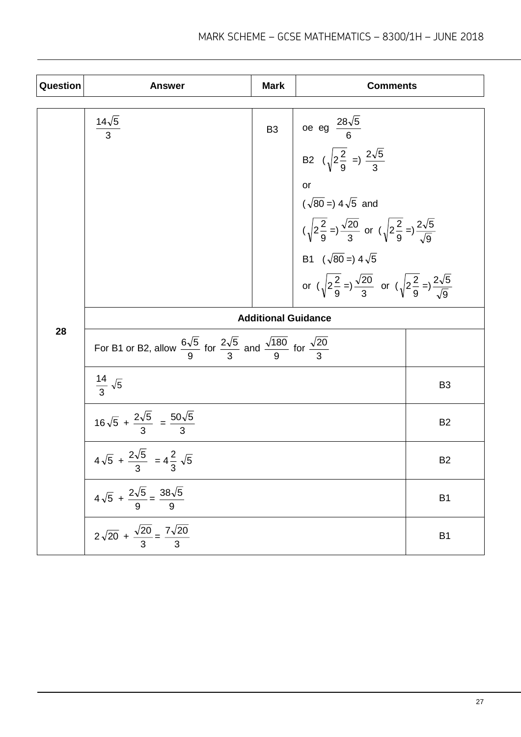| <b>Question</b> | <b>Answer</b>                                                                                                            | <b>Mark</b> | <b>Comments</b>                                                                                                                                                                                                                                                                                                                                                                      |                |  |
|-----------------|--------------------------------------------------------------------------------------------------------------------------|-------------|--------------------------------------------------------------------------------------------------------------------------------------------------------------------------------------------------------------------------------------------------------------------------------------------------------------------------------------------------------------------------------------|----------------|--|
|                 | $\frac{14\sqrt{5}}{3}$                                                                                                   | <b>B3</b>   | $\vert$ oe eg $\frac{28\sqrt{5}}{6}$<br>B2 $(\sqrt{2\frac{2}{9}} = )\frac{2\sqrt{5}}{3}$<br>or<br>$(\sqrt{80} =) 4\sqrt{5}$ and<br>$(\sqrt{2\frac{2}{9}} =) \frac{\sqrt{20}}{3}$ or $(\sqrt{2\frac{2}{9}} =) \frac{2\sqrt{5}}{\sqrt{9}}$<br>B1 $(\sqrt{80} =) 4\sqrt{5}$<br>or $(\sqrt{2\frac{2}{9}} = )\frac{\sqrt{20}}{3}$ or $(\sqrt{2\frac{2}{9}} = )\frac{2\sqrt{5}}{\sqrt{9}}$ |                |  |
|                 | <b>Additional Guidance</b>                                                                                               |             |                                                                                                                                                                                                                                                                                                                                                                                      |                |  |
| 28              | For B1 or B2, allow $\frac{6\sqrt{5}}{9}$ for $\frac{2\sqrt{5}}{3}$ and $\frac{\sqrt{180}}{9}$ for $\frac{\sqrt{20}}{3}$ |             |                                                                                                                                                                                                                                                                                                                                                                                      |                |  |
|                 | $\frac{14}{3}$ $\sqrt{5}$                                                                                                |             |                                                                                                                                                                                                                                                                                                                                                                                      | B <sub>3</sub> |  |
|                 | $16\sqrt{5} + \frac{2\sqrt{5}}{3} = \frac{50\sqrt{5}}{3}$                                                                |             |                                                                                                                                                                                                                                                                                                                                                                                      | B <sub>2</sub> |  |
|                 | $4\sqrt{5} + \frac{2\sqrt{5}}{9} = 4\frac{2}{9}\sqrt{5}$                                                                 |             |                                                                                                                                                                                                                                                                                                                                                                                      | B <sub>2</sub> |  |
|                 | $4\sqrt{5} + \frac{2\sqrt{5}}{9} = \frac{38\sqrt{5}}{9}$                                                                 |             |                                                                                                                                                                                                                                                                                                                                                                                      | B <sub>1</sub> |  |
|                 | $\frac{1}{2\sqrt{20} + \frac{\sqrt{20}}{3}} = \frac{7\sqrt{20}}{3}$                                                      |             |                                                                                                                                                                                                                                                                                                                                                                                      | B <sub>1</sub> |  |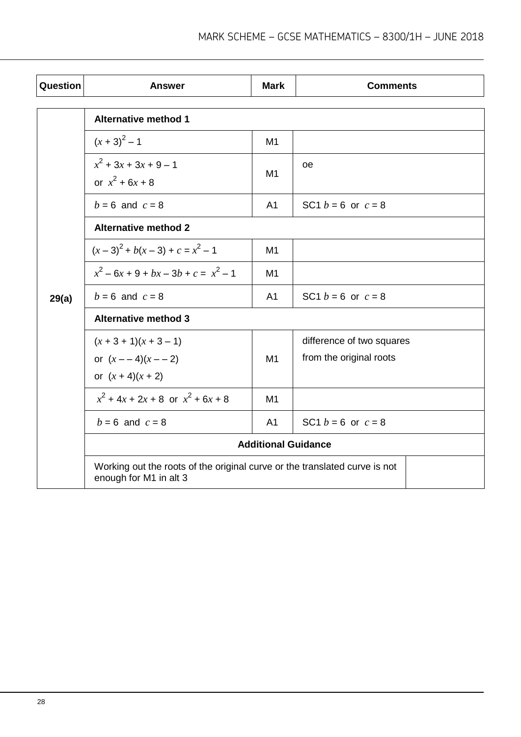| Question | <b>Answer</b>                                                                                        | <b>Mark</b>    | <b>Comments</b>           |  |  |  |
|----------|------------------------------------------------------------------------------------------------------|----------------|---------------------------|--|--|--|
|          | <b>Alternative method 1</b>                                                                          |                |                           |  |  |  |
|          |                                                                                                      |                |                           |  |  |  |
|          | $(x + 3)^2 - 1$                                                                                      | M <sub>1</sub> |                           |  |  |  |
|          | $x^2$ + 3x + 3x + 9 – 1                                                                              | M <sub>1</sub> | oe                        |  |  |  |
|          | or $x^2$ + 6x + 8                                                                                    |                |                           |  |  |  |
|          | $b = 6$ and $c = 8$                                                                                  | A <sub>1</sub> | SC1 $b = 6$ or $c = 8$    |  |  |  |
| 29(a)    | <b>Alternative method 2</b>                                                                          |                |                           |  |  |  |
|          | $(x-3)^2$ + $b(x-3)$ + $c = x^2 - 1$                                                                 | M <sub>1</sub> |                           |  |  |  |
|          | $x^2-6x+9+bx-3b+c=x^2-1$                                                                             | M <sub>1</sub> |                           |  |  |  |
|          | $b = 6$ and $c = 8$                                                                                  | A <sub>1</sub> | SC1 $b = 6$ or $c = 8$    |  |  |  |
|          | <b>Alternative method 3</b>                                                                          |                |                           |  |  |  |
|          | $(x + 3 + 1)(x + 3 - 1)$                                                                             |                | difference of two squares |  |  |  |
|          | or $(x - 4)(x - 2)$                                                                                  | M1             | from the original roots   |  |  |  |
|          | or $(x + 4)(x + 2)$                                                                                  |                |                           |  |  |  |
|          | $x^2$ + 4x + 2x + 8 or $x^2$ + 6x + 8                                                                | M <sub>1</sub> |                           |  |  |  |
|          | $b = 6$ and $c = 8$                                                                                  | A <sub>1</sub> | SC1 $b = 6$ or $c = 8$    |  |  |  |
|          | <b>Additional Guidance</b>                                                                           |                |                           |  |  |  |
|          | Working out the roots of the original curve or the translated curve is not<br>enough for M1 in alt 3 |                |                           |  |  |  |